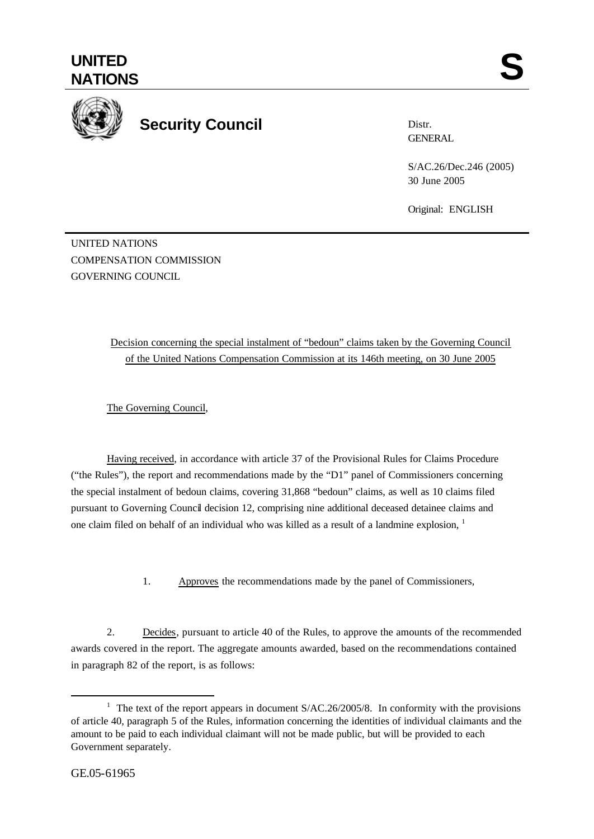

# **Security Council**

Distr. GENERAL

S/AC.26/Dec.246 (2005) 30 June 2005

Original: ENGLISH

UNITED NATIONS COMPENSATION COMMISSION GOVERNING COUNCIL

# Decision concerning the special instalment of "bedoun" claims taken by the Governing Council of the United Nations Compensation Commission at its 146th meeting, on 30 June 2005

The Governing Council,

Having received, in accordance with article 37 of the Provisional Rules for Claims Procedure ("the Rules"), the report and recommendations made by the "D1" panel of Commissioners concerning the special instalment of bedoun claims, covering 31,868 "bedoun" claims, as well as 10 claims filed pursuant to Governing Council decision 12, comprising nine additional deceased detainee claims and one claim filed on behalf of an individual who was killed as a result of a landmine explosion, <sup>1</sup>

1. Approves the recommendations made by the panel of Commissioners,

2. Decides, pursuant to article 40 of the Rules, to approve the amounts of the recommended awards covered in the report. The aggregate amounts awarded, based on the recommendations contained in paragraph 82 of the report, is as follows:

l

<sup>&</sup>lt;sup>1</sup> The text of the report appears in document  $S/AC.26/2005/8$ . In conformity with the provisions of article 40, paragraph 5 of the Rules, information concerning the identities of individual claimants and the amount to be paid to each individual claimant will not be made public, but will be provided to each Government separately.